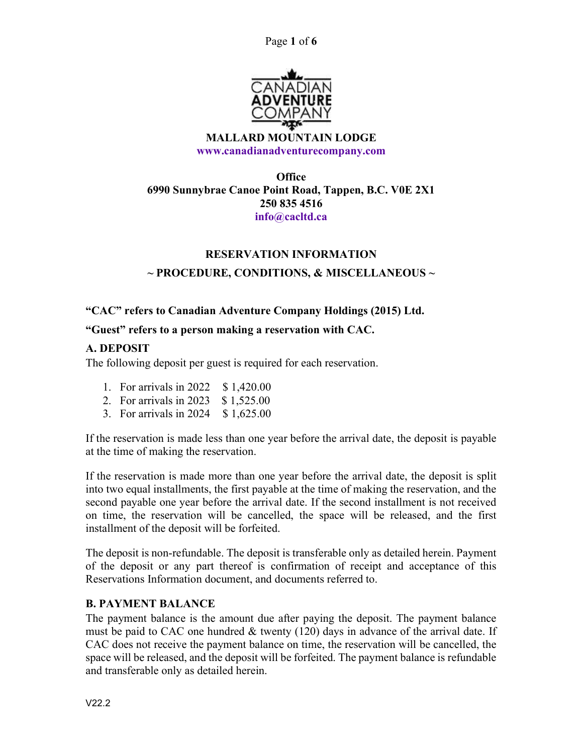Page 1 of 6



#### MALLARD MOUNTAIN LODGE www.canadianadventurecompany.com

## **Office** 6990 Sunnybrae Canoe Point Road, Tappen, B.C. V0E 2X1 250 835 4516 info@cacltd.ca

# RESERVATION INFORMATION

# $\sim$  PROCEDURE, CONDITIONS, & MISCELLANEOUS  $\sim$

## "CAC" refers to Canadian Adventure Company Holdings (2015) Ltd.

#### "Guest" refers to a person making a reservation with CAC.

#### A. DEPOSIT

The following deposit per guest is required for each reservation.

- 1. For arrivals in 2022 \$1,420.00
- 2. For arrivals in 2023 \$ 1,525.00
- 3. For arrivals in 2024 \$ 1,625.00

If the reservation is made less than one year before the arrival date, the deposit is payable at the time of making the reservation.

If the reservation is made more than one year before the arrival date, the deposit is split into two equal installments, the first payable at the time of making the reservation, and the second payable one year before the arrival date. If the second installment is not received on time, the reservation will be cancelled, the space will be released, and the first installment of the deposit will be forfeited.

The deposit is non-refundable. The deposit is transferable only as detailed herein. Payment of the deposit or any part thereof is confirmation of receipt and acceptance of this Reservations Information document, and documents referred to.

#### B. PAYMENT BALANCE

The payment balance is the amount due after paying the deposit. The payment balance must be paid to CAC one hundred  $&$  twenty (120) days in advance of the arrival date. If CAC does not receive the payment balance on time, the reservation will be cancelled, the space will be released, and the deposit will be forfeited. The payment balance is refundable and transferable only as detailed herein.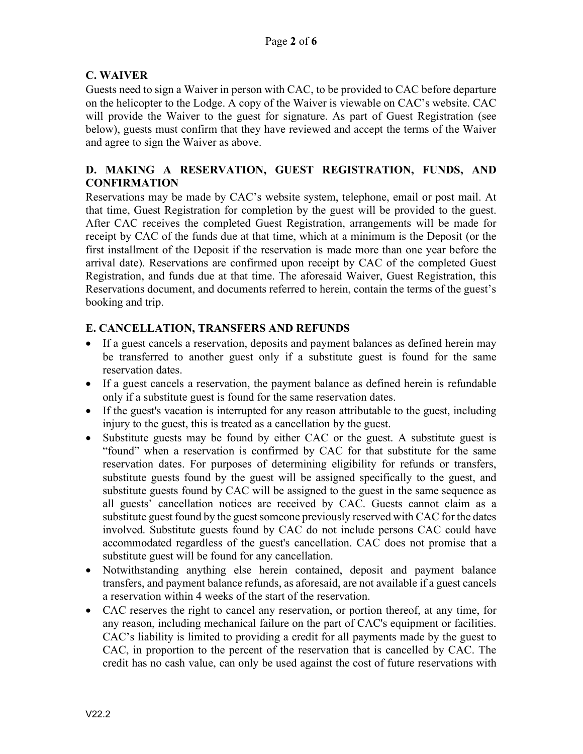## C. WAIVER

Guests need to sign a Waiver in person with CAC, to be provided to CAC before departure on the helicopter to the Lodge. A copy of the Waiver is viewable on CAC's website. CAC will provide the Waiver to the guest for signature. As part of Guest Registration (see below), guests must confirm that they have reviewed and accept the terms of the Waiver and agree to sign the Waiver as above.

## D. MAKING A RESERVATION, GUEST REGISTRATION, FUNDS, AND **CONFIRMATION**

Reservations may be made by CAC's website system, telephone, email or post mail. At that time, Guest Registration for completion by the guest will be provided to the guest. After CAC receives the completed Guest Registration, arrangements will be made for receipt by CAC of the funds due at that time, which at a minimum is the Deposit (or the first installment of the Deposit if the reservation is made more than one year before the arrival date). Reservations are confirmed upon receipt by CAC of the completed Guest Registration, and funds due at that time. The aforesaid Waiver, Guest Registration, this Reservations document, and documents referred to herein, contain the terms of the guest's booking and trip.

## E. CANCELLATION, TRANSFERS AND REFUNDS

- If a guest cancels a reservation, deposits and payment balances as defined herein may be transferred to another guest only if a substitute guest is found for the same reservation dates.
- If a guest cancels a reservation, the payment balance as defined herein is refundable only if a substitute guest is found for the same reservation dates.
- If the guest's vacation is interrupted for any reason attributable to the guest, including injury to the guest, this is treated as a cancellation by the guest.
- Substitute guests may be found by either CAC or the guest. A substitute guest is "found" when a reservation is confirmed by CAC for that substitute for the same reservation dates. For purposes of determining eligibility for refunds or transfers, substitute guests found by the guest will be assigned specifically to the guest, and substitute guests found by CAC will be assigned to the guest in the same sequence as all guests' cancellation notices are received by CAC. Guests cannot claim as a substitute guest found by the guest someone previously reserved with CAC for the dates involved. Substitute guests found by CAC do not include persons CAC could have accommodated regardless of the guest's cancellation. CAC does not promise that a substitute guest will be found for any cancellation.
- Notwithstanding anything else herein contained, deposit and payment balance transfers, and payment balance refunds, as aforesaid, are not available if a guest cancels a reservation within 4 weeks of the start of the reservation.
- CAC reserves the right to cancel any reservation, or portion thereof, at any time, for any reason, including mechanical failure on the part of CAC's equipment or facilities. CAC's liability is limited to providing a credit for all payments made by the guest to CAC, in proportion to the percent of the reservation that is cancelled by CAC. The credit has no cash value, can only be used against the cost of future reservations with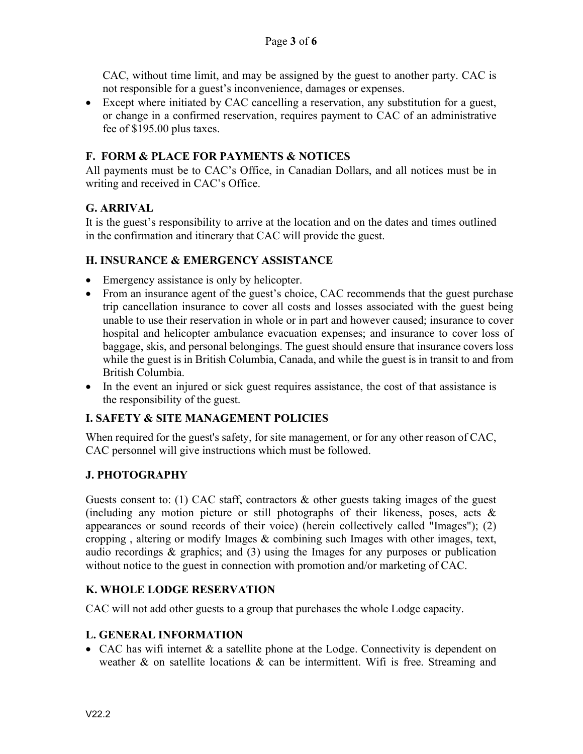CAC, without time limit, and may be assigned by the guest to another party. CAC is not responsible for a guest's inconvenience, damages or expenses.

 Except where initiated by CAC cancelling a reservation, any substitution for a guest, or change in a confirmed reservation, requires payment to CAC of an administrative fee of \$195.00 plus taxes.

## F. FORM & PLACE FOR PAYMENTS & NOTICES

All payments must be to CAC's Office, in Canadian Dollars, and all notices must be in writing and received in CAC's Office.

## G. ARRIVAL

It is the guest's responsibility to arrive at the location and on the dates and times outlined in the confirmation and itinerary that CAC will provide the guest.

#### H. INSURANCE & EMERGENCY ASSISTANCE

- Emergency assistance is only by helicopter.
- From an insurance agent of the guest's choice, CAC recommends that the guest purchase trip cancellation insurance to cover all costs and losses associated with the guest being unable to use their reservation in whole or in part and however caused; insurance to cover hospital and helicopter ambulance evacuation expenses; and insurance to cover loss of baggage, skis, and personal belongings. The guest should ensure that insurance covers loss while the guest is in British Columbia, Canada, and while the guest is in transit to and from British Columbia.
- In the event an injured or sick guest requires assistance, the cost of that assistance is the responsibility of the guest.

## I. SAFETY & SITE MANAGEMENT POLICIES

When required for the guest's safety, for site management, or for any other reason of CAC, CAC personnel will give instructions which must be followed.

## J. PHOTOGRAPHY

Guests consent to: (1) CAC staff, contractors  $\&$  other guests taking images of the guest (including any motion picture or still photographs of their likeness, poses, acts & appearances or sound records of their voice) (herein collectively called "Images"); (2) cropping , altering or modify Images & combining such Images with other images, text, audio recordings & graphics; and (3) using the Images for any purposes or publication without notice to the guest in connection with promotion and/or marketing of CAC.

## K. WHOLE LODGE RESERVATION

CAC will not add other guests to a group that purchases the whole Lodge capacity.

## L. GENERAL INFORMATION

• CAC has wifi internet & a satellite phone at the Lodge. Connectivity is dependent on weather  $\&$  on satellite locations  $\&$  can be intermittent. Wifi is free. Streaming and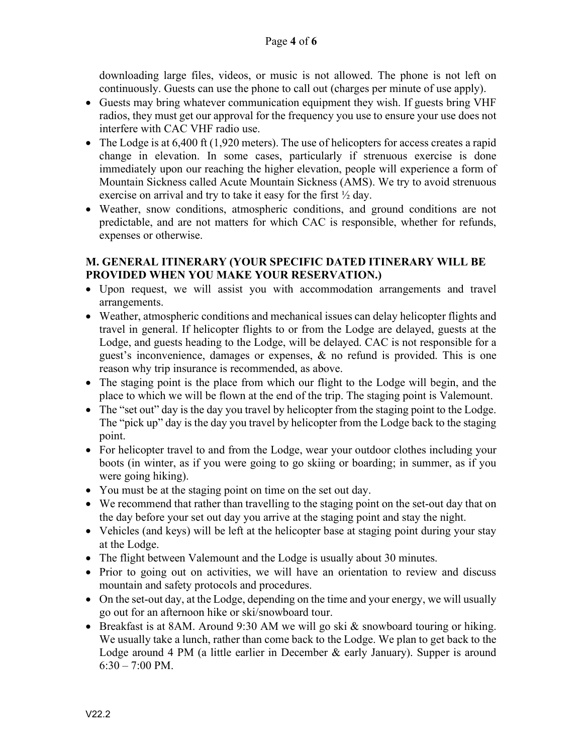downloading large files, videos, or music is not allowed. The phone is not left on continuously. Guests can use the phone to call out (charges per minute of use apply).

- Guests may bring whatever communication equipment they wish. If guests bring VHF radios, they must get our approval for the frequency you use to ensure your use does not interfere with CAC VHF radio use.
- $\bullet$  The Lodge is at 6,400 ft (1,920 meters). The use of helicopters for access creates a rapid change in elevation. In some cases, particularly if strenuous exercise is done immediately upon our reaching the higher elevation, people will experience a form of Mountain Sickness called Acute Mountain Sickness (AMS). We try to avoid strenuous exercise on arrival and try to take it easy for the first  $\frac{1}{2}$  day.
- Weather, snow conditions, atmospheric conditions, and ground conditions are not predictable, and are not matters for which CAC is responsible, whether for refunds, expenses or otherwise.

#### M. GENERAL ITINERARY (YOUR SPECIFIC DATED ITINERARY WILL BE PROVIDED WHEN YOU MAKE YOUR RESERVATION.)

- Upon request, we will assist you with accommodation arrangements and travel arrangements.
- Weather, atmospheric conditions and mechanical issues can delay helicopter flights and travel in general. If helicopter flights to or from the Lodge are delayed, guests at the Lodge, and guests heading to the Lodge, will be delayed. CAC is not responsible for a guest's inconvenience, damages or expenses, & no refund is provided. This is one reason why trip insurance is recommended, as above.
- The staging point is the place from which our flight to the Lodge will begin, and the place to which we will be flown at the end of the trip. The staging point is Valemount.
- The "set out" day is the day you travel by helicopter from the staging point to the Lodge. The "pick up" day is the day you travel by helicopter from the Lodge back to the staging point.
- For helicopter travel to and from the Lodge, wear your outdoor clothes including your boots (in winter, as if you were going to go skiing or boarding; in summer, as if you were going hiking).
- You must be at the staging point on time on the set out day.
- We recommend that rather than travelling to the staging point on the set-out day that on the day before your set out day you arrive at the staging point and stay the night.
- Vehicles (and keys) will be left at the helicopter base at staging point during your stay at the Lodge.
- The flight between Valemount and the Lodge is usually about 30 minutes.
- Prior to going out on activities, we will have an orientation to review and discuss mountain and safety protocols and procedures.
- On the set-out day, at the Lodge, depending on the time and your energy, we will usually go out for an afternoon hike or ski/snowboard tour.
- **Breakfast is at 8AM.** Around 9:30 AM we will go ski  $\&$  snowboard touring or hiking. We usually take a lunch, rather than come back to the Lodge. We plan to get back to the Lodge around 4 PM (a little earlier in December & early January). Supper is around  $6:30 - 7:00$  PM.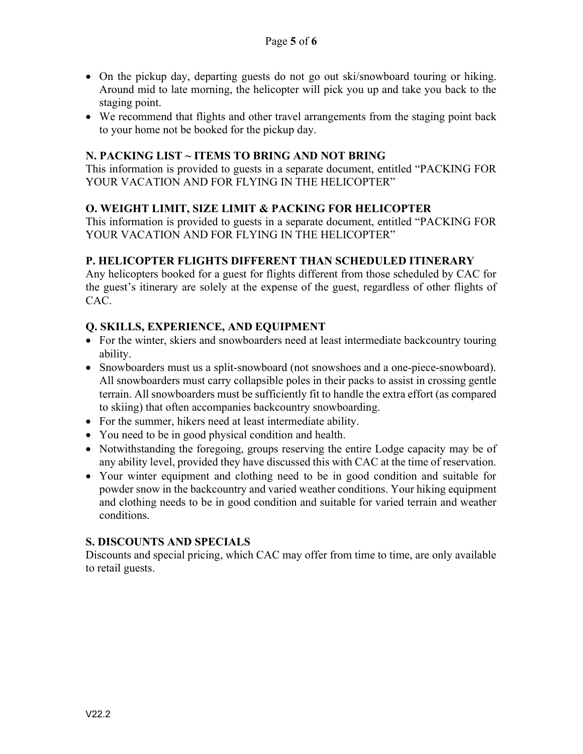- On the pickup day, departing guests do not go out ski/snowboard touring or hiking. Around mid to late morning, the helicopter will pick you up and take you back to the staging point.
- We recommend that flights and other travel arrangements from the staging point back to your home not be booked for the pickup day.

#### N. PACKING LIST ~ ITEMS TO BRING AND NOT BRING

This information is provided to guests in a separate document, entitled "PACKING FOR YOUR VACATION AND FOR FLYING IN THE HELICOPTER"

#### O. WEIGHT LIMIT, SIZE LIMIT & PACKING FOR HELICOPTER

This information is provided to guests in a separate document, entitled "PACKING FOR YOUR VACATION AND FOR FLYING IN THE HELICOPTER"

#### P. HELICOPTER FLIGHTS DIFFERENT THAN SCHEDULED ITINERARY

Any helicopters booked for a guest for flights different from those scheduled by CAC for the guest's itinerary are solely at the expense of the guest, regardless of other flights of CAC.

#### Q. SKILLS, EXPERIENCE, AND EQUIPMENT

- For the winter, skiers and snowboarders need at least intermediate backcountry touring ability.
- Snowboarders must us a split-snowboard (not snowshoes and a one-piece-snowboard). All snowboarders must carry collapsible poles in their packs to assist in crossing gentle terrain. All snowboarders must be sufficiently fit to handle the extra effort (as compared to skiing) that often accompanies backcountry snowboarding.
- For the summer, hikers need at least intermediate ability.
- You need to be in good physical condition and health.
- Notwithstanding the foregoing, groups reserving the entire Lodge capacity may be of any ability level, provided they have discussed this with CAC at the time of reservation.
- Your winter equipment and clothing need to be in good condition and suitable for powder snow in the backcountry and varied weather conditions. Your hiking equipment and clothing needs to be in good condition and suitable for varied terrain and weather conditions.

#### S. DISCOUNTS AND SPECIALS

Discounts and special pricing, which CAC may offer from time to time, are only available to retail guests.